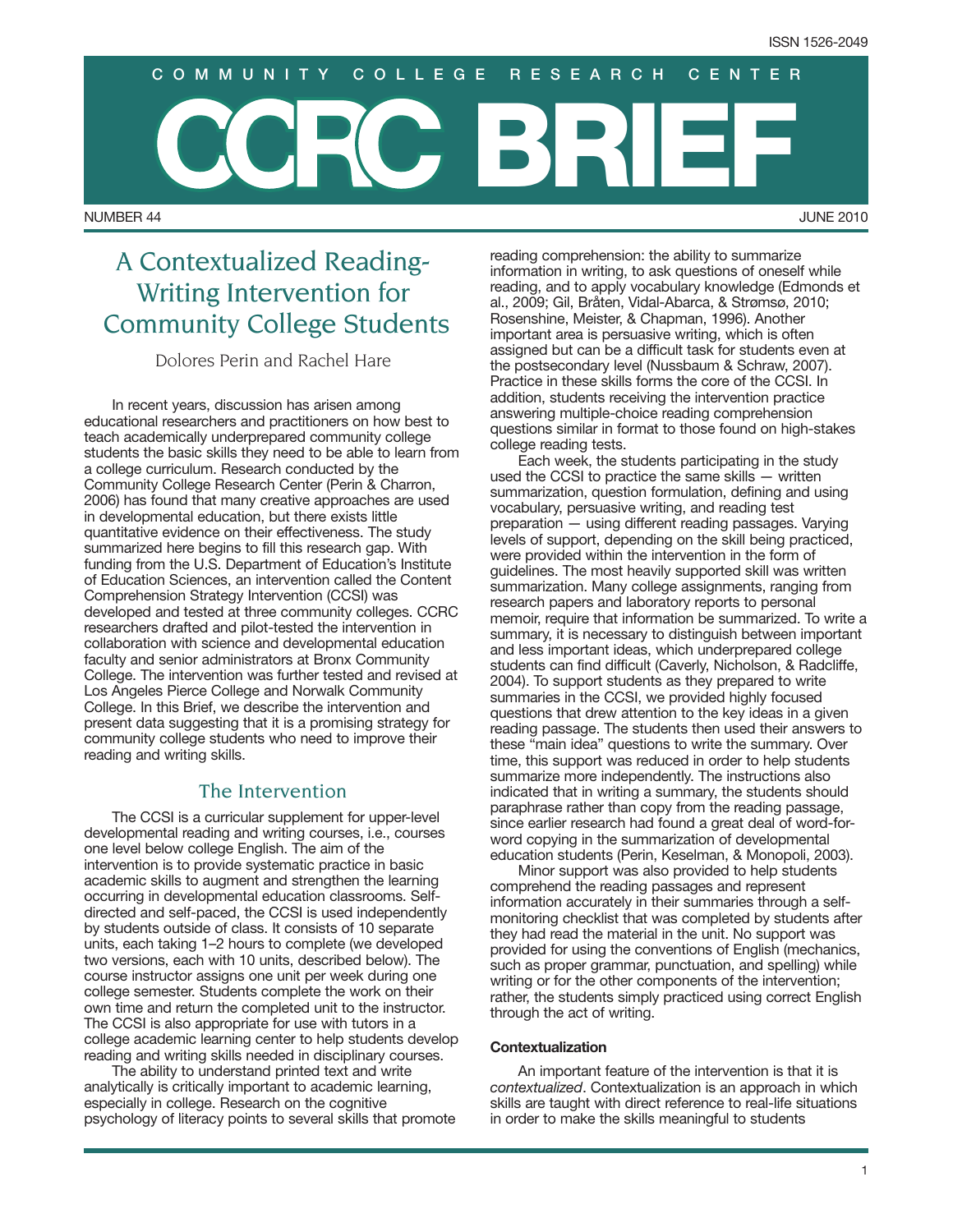NUMBER 44 JUNE 2010 **BRIEF COMMUNITY COLLEGE RESEARCH CENTER**

# A Contextualized Reading-Writing Intervention for Community College Students

Dolores Perin and Rachel Hare

In recent years, discussion has arisen among educational researchers and practitioners on how best to teach academically underprepared community college students the basic skills they need to be able to learn from a college curriculum. Research conducted by the Community College Research Center (Perin & Charron, 2006) has found that many creative approaches are used in developmental education, but there exists little quantitative evidence on their effectiveness. The study summarized here begins to fill this research gap. With funding from the U.S. Department of Education's Institute of Education Sciences, an intervention called the Content Comprehension Strategy Intervention (CCSI) was developed and tested at three community colleges. CCRC researchers drafted and pilot-tested the intervention in collaboration with science and developmental education faculty and senior administrators at Bronx Community College. The intervention was further tested and revised at Los Angeles Pierce College and Norwalk Community College. In this Brief, we describe the intervention and present data suggesting that it is a promising strategy for community college students who need to improve their reading and writing skills.

## The Intervention

The CCSI is a curricular supplement for upper-level developmental reading and writing courses, i.e., courses one level below college English. The aim of the intervention is to provide systematic practice in basic academic skills to augment and strengthen the learning occurring in developmental education classrooms. Selfdirected and self-paced, the CCSI is used independently by students outside of class. It consists of 10 separate units, each taking 1–2 hours to complete (we developed two versions, each with 10 units, described below). The course instructor assigns one unit per week during one college semester. Students complete the work on their own time and return the completed unit to the instructor. The CCSI is also appropriate for use with tutors in a college academic learning center to help students develop reading and writing skills needed in disciplinary courses.

The ability to understand printed text and write analytically is critically important to academic learning, especially in college. Research on the cognitive psychology of literacy points to several skills that promote reading comprehension: the ability to summarize information in writing, to ask questions of oneself while reading, and to apply vocabulary knowledge (Edmonds et al., 2009; Gil, Bråten, Vidal-Abarca, & Strømsø, 2010; Rosenshine, Meister, & Chapman, 1996). Another important area is persuasive writing, which is often assigned but can be a difficult task for students even at the postsecondary level (Nussbaum & Schraw, 2007). Practice in these skills forms the core of the CCSI. In addition, students receiving the intervention practice answering multiple-choice reading comprehension questions similar in format to those found on high-stakes college reading tests.

Each week, the students participating in the study used the CCSI to practice the same skills — written summarization, question formulation, defining and using vocabulary, persuasive writing, and reading test preparation — using different reading passages. Varying levels of support, depending on the skill being practiced, were provided within the intervention in the form of guidelines. The most heavily supported skill was written summarization. Many college assignments, ranging from research papers and laboratory reports to personal memoir, require that information be summarized. To write a summary, it is necessary to distinguish between important and less important ideas, which underprepared college students can find difficult (Caverly, Nicholson, & Radcliffe, 2004). To support students as they prepared to write summaries in the CCSI, we provided highly focused questions that drew attention to the key ideas in a given reading passage. The students then used their answers to these "main idea" questions to write the summary. Over time, this support was reduced in order to help students summarize more independently. The instructions also indicated that in writing a summary, the students should paraphrase rather than copy from the reading passage, since earlier research had found a great deal of word-forword copying in the summarization of developmental education students (Perin, Keselman, & Monopoli, 2003).

Minor support was also provided to help students comprehend the reading passages and represent information accurately in their summaries through a selfmonitoring checklist that was completed by students after they had read the material in the unit. No support was provided for using the conventions of English (mechanics, such as proper grammar, punctuation, and spelling) while writing or for the other components of the intervention; rather, the students simply practiced using correct English through the act of writing.

#### **Contextualization**

An important feature of the intervention is that it is *contextualized*. Contextualization is an approach in which skills are taught with direct reference to real-life situations in order to make the skills meaningful to students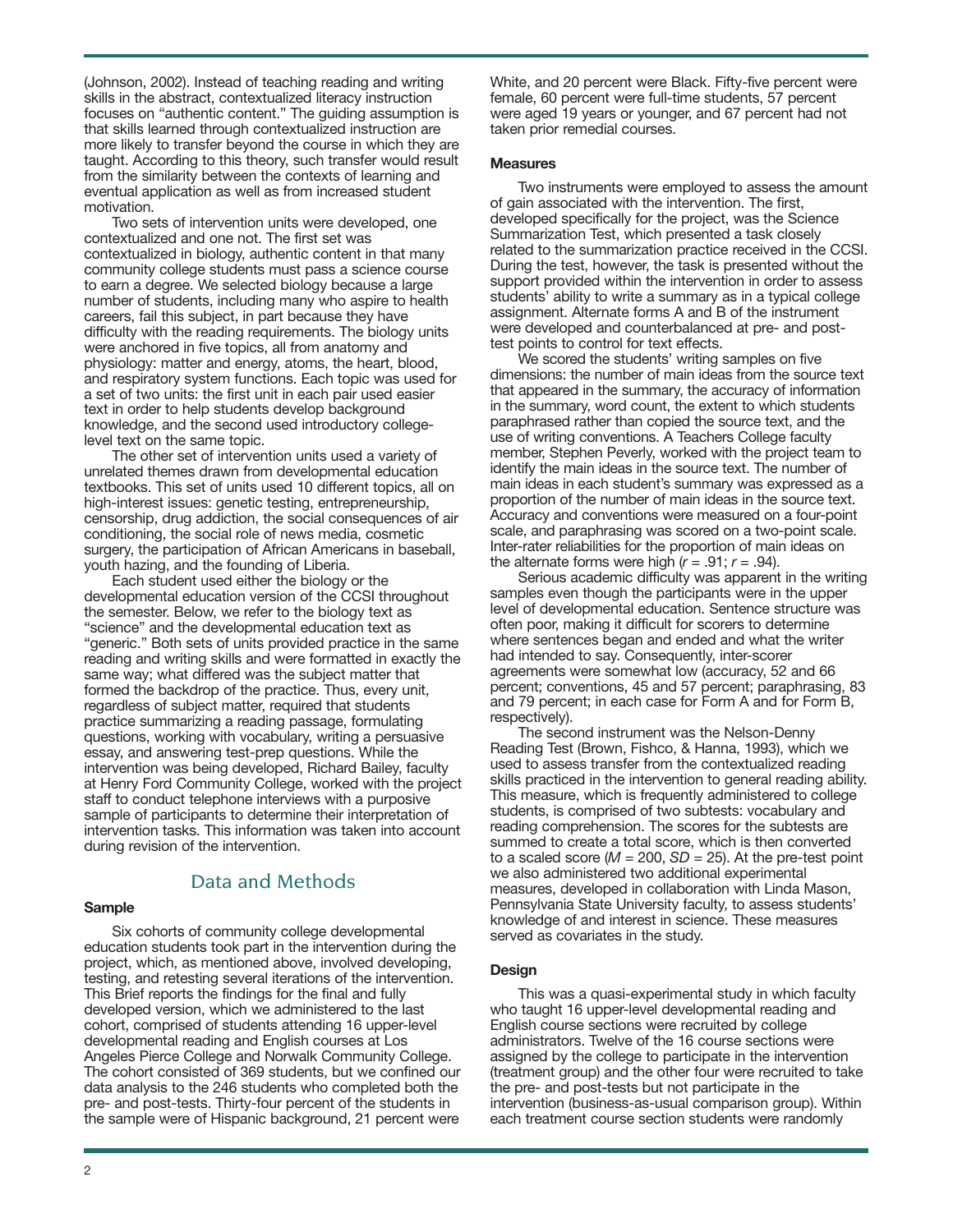(Johnson, 2002). Instead of teaching reading and writing skills in the abstract, contextualized literacy instruction focuses on "authentic content." The guiding assumption is that skills learned through contextualized instruction are more likely to transfer beyond the course in which they are taught. According to this theory, such transfer would result from the similarity between the contexts of learning and eventual application as well as from increased student motivation.

Two sets of intervention units were developed, one contextualized and one not. The first set was contextualized in biology, authentic content in that many community college students must pass a science course to earn a degree. We selected biology because a large number of students, including many who aspire to health careers, fail this subject, in part because they have difficulty with the reading requirements. The biology units were anchored in five topics, all from anatomy and physiology: matter and energy, atoms, the heart, blood, and respiratory system functions. Each topic was used for a set of two units: the first unit in each pair used easier text in order to help students develop background knowledge, and the second used introductory collegelevel text on the same topic.

The other set of intervention units used a variety of unrelated themes drawn from developmental education textbooks. This set of units used 10 different topics, all on high-interest issues: genetic testing, entrepreneurship, censorship, drug addiction, the social consequences of air conditioning, the social role of news media, cosmetic surgery, the participation of African Americans in baseball, youth hazing, and the founding of Liberia.

Each student used either the biology or the developmental education version of the CCSI throughout the semester. Below, we refer to the biology text as "science" and the developmental education text as "generic." Both sets of units provided practice in the same reading and writing skills and were formatted in exactly the same way; what differed was the subject matter that formed the backdrop of the practice. Thus, every unit, regardless of subject matter, required that students practice summarizing a reading passage, formulating questions, working with vocabulary, writing a persuasive essay, and answering test-prep questions. While the intervention was being developed, Richard Bailey, faculty at Henry Ford Community College, worked with the project staff to conduct telephone interviews with a purposive sample of participants to determine their interpretation of intervention tasks. This information was taken into account during revision of the intervention.

## Data and Methods

#### **Sample**

Six cohorts of community college developmental education students took part in the intervention during the project, which, as mentioned above, involved developing, testing, and retesting several iterations of the intervention. This Brief reports the findings for the final and fully developed version, which we administered to the last cohort, comprised of students attending 16 upper-level developmental reading and English courses at Los Angeles Pierce College and Norwalk Community College. pre- and post-tests. Thirty-four percent of the students in the sample were of Hispanic background, 21 percent were The cohort consisted of 369 students, but we confined our data analysis to the 246 students who completed both the

White, and 20 percent were Black. Fifty-five percent were female, 60 percent were full-time students, 57 percent were aged 19 years or younger, and 67 percent had not taken prior remedial courses.

#### **Measures**

Two instruments were employed to assess the amount of gain associated with the intervention. The first, developed specifically for the project, was the Science Summarization Test, which presented a task closely related to the summarization practice received in the CCSI. During the test, however, the task is presented without the support provided within the intervention in order to assess students' ability to write a summary as in a typical college assignment. Alternate forms A and B of the instrument were developed and counterbalanced at pre- and posttest points to control for text effects.

We scored the students' writing samples on five dimensions: the number of main ideas from the source text that appeared in the summary, the accuracy of information in the summary, word count, the extent to which students paraphrased rather than copied the source text, and the use of writing conventions. A Teachers College faculty member, Stephen Peverly, worked with the project team to identify the main ideas in the source text. The number of main ideas in each student's summary was expressed as a proportion of the number of main ideas in the source text. Accuracy and conventions were measured on a four-point scale, and paraphrasing was scored on a two-point scale. Inter-rater reliabilities for the proportion of main ideas on the alternate forms were high  $(r = .91; r = .94)$ .

Serious academic difficulty was apparent in the writing samples even though the participants were in the upper level of developmental education. Sentence structure was often poor, making it difficult for scorers to determine where sentences began and ended and what the writer had intended to say. Consequently, inter-scorer agreements were somewhat low (accuracy, 52 and 66 percent; conventions, 45 and 57 percent; paraphrasing, 83 and 79 percent; in each case for Form A and for Form B, respectively).

The second instrument was the Nelson-Denny Reading Test (Brown, Fishco, & Hanna, 1993), which we used to assess transfer from the contextualized reading skills practiced in the intervention to general reading ability. This measure, which is frequently administered to college students, is comprised of two subtests: vocabulary and reading comprehension. The scores for the subtests are summed to create a total score, which is then converted to a scaled score  $(M = 200, SD = 25)$ . At the pre-test point we also administered two additional experimental measures, developed in collaboration with Linda Mason, Pennsylvania State University faculty, to assess students' knowledge of and interest in science. These measures served as covariates in the study.

#### **Design**

This was a quasi-experimental study in which faculty who taught 16 upper-level developmental reading and English course sections were recruited by college administrators. Twelve of the 16 course sections were assigned by the college to participate in the intervention (treatment group) and the other four were recruited to take the pre- and post-tests but not participate in the intervention (business-as-usual comparison group). Within each treatment course section students were randomly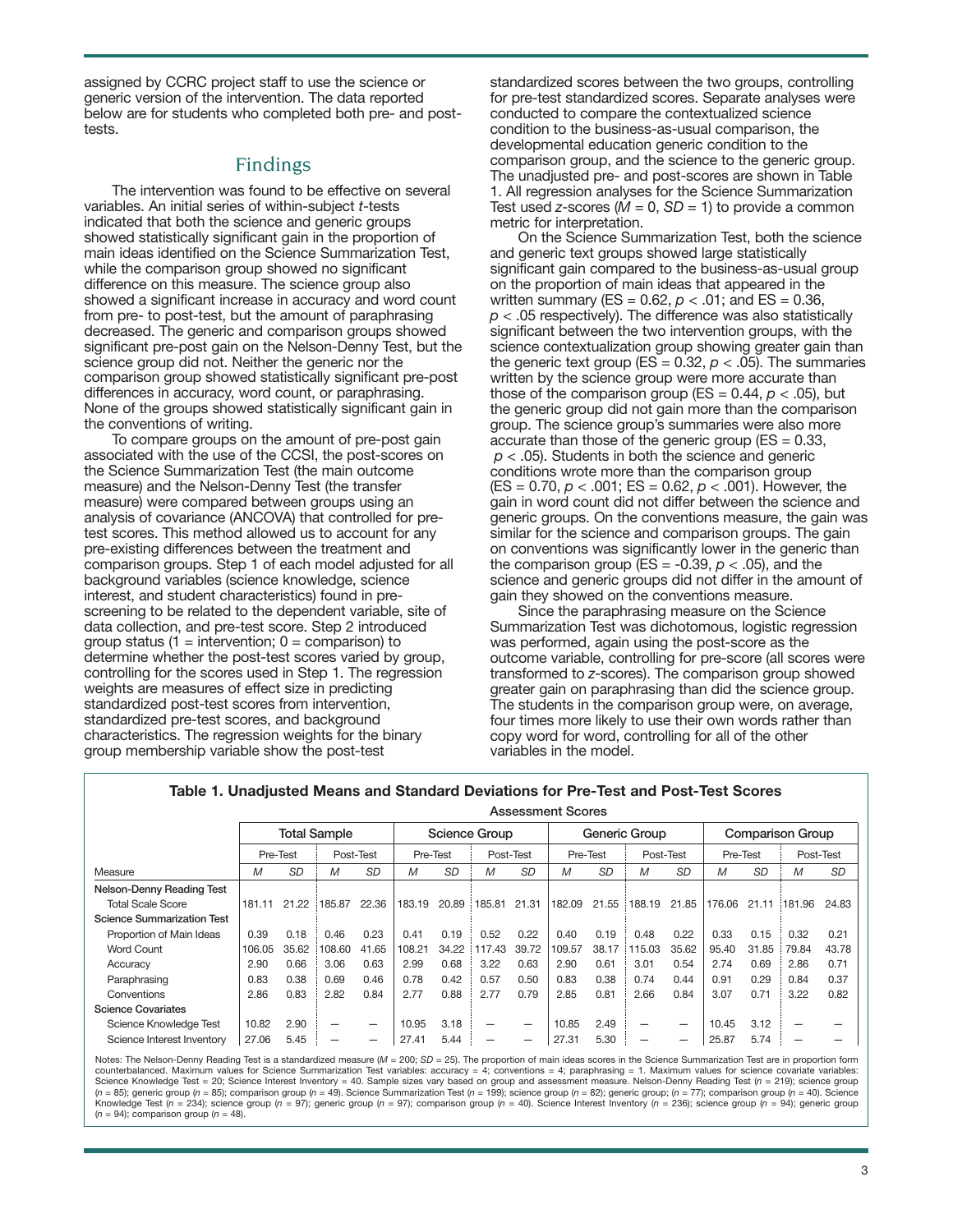assigned by CCRC project staff to use the science or generic version of the intervention. The data reported below are for students who completed both pre- and posttests.

# Findings

The intervention was found to be effective on several variables. An initial series of within-subject *t*-tests indicated that both the science and generic groups showed statistically significant gain in the proportion of main ideas identified on the Science Summarization Test, while the comparison group showed no significant difference on this measure. The science group also showed a significant increase in accuracy and word count from pre- to post-test, but the amount of paraphrasing decreased. The generic and comparison groups showed significant pre-post gain on the Nelson-Denny Test, but the science group did not. Neither the generic nor the comparison group showed statistically significant pre-post differences in accuracy, word count, or paraphrasing. None of the groups showed statistically significant gain in the conventions of writing.

To compare groups on the amount of pre-post gain associated with the use of the CCSI, the post-scores on the Science Summarization Test (the main outcome measure) and the Nelson-Denny Test (the transfer measure) were compared between groups using an analysis of covariance (ANCOVA) that controlled for pretest scores. This method allowed us to account for any pre-existing differences between the treatment and comparison groups. Step 1 of each model adjusted for all background variables (science knowledge, science interest, and student characteristics) found in prescreening to be related to the dependent variable, site of data collection, and pre-test score. Step 2 introduced group status (1 = intervention;  $0 =$  comparison) to determine whether the post-test scores varied by group, controlling for the scores used in Step 1. The regression weights are measures of effect size in predicting standardized post-test scores from intervention, standardized pre-test scores, and background characteristics. The regression weights for the binary group membership variable show the post-test

standardized scores between the two groups, controlling for pre-test standardized scores. Separate analyses were conducted to compare the contextualized science condition to the business-as-usual comparison, the developmental education generic condition to the comparison group, and the science to the generic group. The unadjusted pre- and post-scores are shown in Table 1. All regression analyses for the Science Summarization Test used *z*-scores ( $\dot{M}$  = 0, *SD* = 1) to provide a common metric for interpretation.

On the Science Summarization Test, both the science and generic text groups showed large statistically significant gain compared to the business-as-usual group on the proportion of main ideas that appeared in the written summary (ES =  $0.62$ ,  $p < .01$ ; and ES =  $0.36$ , *p* < .05 respectively). The difference was also statistically significant between the two intervention groups, with the science contextualization group showing greater gain than the generic text group ( $ES = 0.32$ ,  $p < .05$ ). The summaries written by the science group were more accurate than those of the comparison group (ES =  $0.44$ ,  $p < .05$ ), but the generic group did not gain more than the comparison group. The science group's summaries were also more accurate than those of the generic group ( $ES = 0.33$ , *p* < .05). Students in both the science and generic conditions wrote more than the comparison group (ES = 0.70, *p* < .001; ES = 0.62, *p* < .001). However, the gain in word count did not differ between the science and generic groups. On the conventions measure, the gain was similar for the science and comparison groups. The gain on conventions was significantly lower in the generic than the comparison group  $(ES = -0.39, p < .05)$ , and the science and generic groups did not differ in the amount of gain they showed on the conventions measure.

Since the paraphrasing measure on the Science Summarization Test was dichotomous, logistic regression was performed, again using the post-score as the outcome variable, controlling for pre-score (all scores were transformed to *z*-scores). The comparison group showed greater gain on paraphrasing than did the science group. The students in the comparison group were, on average, four times more likely to use their own words rather than copy word for word, controlling for all of the other variables in the model.

|                                   | <b>Total Sample</b> |           |           |           | <b>Science Group</b> |       |                          |                          | Generic Group |           |           |           | <b>Comparison Group</b> |           |                          |           |
|-----------------------------------|---------------------|-----------|-----------|-----------|----------------------|-------|--------------------------|--------------------------|---------------|-----------|-----------|-----------|-------------------------|-----------|--------------------------|-----------|
|                                   | Pre-Test            |           | Post-Test |           | Pre-Test             |       | Post-Test                |                          | Pre-Test      |           | Post-Test |           | Pre-Test                |           | Post-Test                |           |
| Measure                           | М                   | <b>SD</b> | M         | <b>SD</b> | M                    | SD    | M                        | <b>SD</b>                | M             | <b>SD</b> | M         | <b>SD</b> | М                       | <b>SD</b> | M                        | <b>SD</b> |
| Nelson-Denny Reading Test         |                     |           |           |           |                      |       |                          |                          |               |           |           |           |                         |           |                          |           |
| <b>Total Scale Score</b>          | 181.11              | 21.22     | 185.87    | 22.36     | 183.19               | 20.89 | 185.81                   | 21.31                    | 182.09        | 21.55     | 188.19    | 21.85     | 176.06                  | 21.11     | 181.96                   | 24.83     |
| <b>Science Summarization Test</b> |                     |           |           |           |                      |       |                          |                          |               |           |           |           |                         |           |                          |           |
| Proportion of Main Ideas          | 0.39                | 0.18      | 0.46      | 0.23      | 0.41                 | 0.19  | 0.52                     | 0.22                     | 0.40          | 0.19      | 0.48      | 0.22      | 0.33                    | 0.15      | 0.32                     | 0.21      |
| <b>Word Count</b>                 | 106.05              | 35.62     | 108.60    | 41.65     | 108.21               | 34.22 | 117.43                   | 39.72                    | 109.57        | 38.17     | 115.03    | 35.62     | 95.40                   | 31.85     | 79.84                    | 43.78     |
| Accuracy                          | 2.90                | 0.66      | 3.06      | 0.63      | 2.99                 | 0.68  | 3.22                     | 0.63                     | 2.90          | 0.61      | 3.01      | 0.54      | 2.74                    | 0.69      | 2.86                     | 0.71      |
| Paraphrasing                      | 0.83                | 0.38      | 0.69      | 0.46      | 0.78                 | 0.42  | 0.57                     | 0.50                     | 0.83          | 0.38      | 0.74      | 0.44      | 0.91                    | 0.29      | 0.84                     | 0.37      |
| Conventions                       | 2.86                | 0.83      | 2.82      | 0.84      | 2.77                 | 0.88  | 2.77                     | 0.79                     | 2.85          | 0.81      | 2.66      | 0.84      | 3.07                    | 0.71      | 3.22                     | 0.82      |
| <b>Science Covariates</b>         |                     |           |           |           |                      |       |                          |                          |               |           |           |           |                         |           |                          |           |
| Science Knowledge Test            | 10.82               | 2.90      | _         | -         | 10.95                | 3.18  | $\overline{\phantom{0}}$ | $\overline{\phantom{0}}$ | 10.85         | 2.49      | -         | –         | 10.45                   | 3.12      | $\overline{\phantom{0}}$ |           |
| Science Interest Inventory        | 27.06               | 5.45      |           |           | 27.41                | 5.44  |                          | -                        | 27.31         | 5.30      |           |           | 25.87                   | 5.74      |                          |           |

### **Table 1. Unadjusted Means and Standard Deviations for Pre-Test and Post-Test Scores**

**Assessment Scores**

Notes: The Nelson-Denny Reading Test is a standardized measure (*M* = 200; SD = 25). The proportion of main ideas scores in the Science Summarization Test are in proportion form counterbalanced. Maximum values for Science Summarization Test variables: accuracy = 4; conventions = 4; paraphrasing = 1. Maximum values for science covariate variables: Science Knowledge Test = 20; Science Interest Inventory = 40. Sample sizes vary based on group and assessment measure. Nelson-Denny Reading Test (*n* = 219); science group (n = 85); generic group (n = 85); comparison group (n = 49). Science Summarization Test (n = 199); science group (n = 82); generic group; (n = 77); comparison group (n = 40). Science Knowledge Test (*n* = 234); science group (*n* = 97); generic group (*n* = 97); comparison group (*n* = 40). Science Interest Inventory (*n* = 236); science group (*n* = 94); generic group  $(n = 94)$ ; comparison group  $(n = 48)$ .